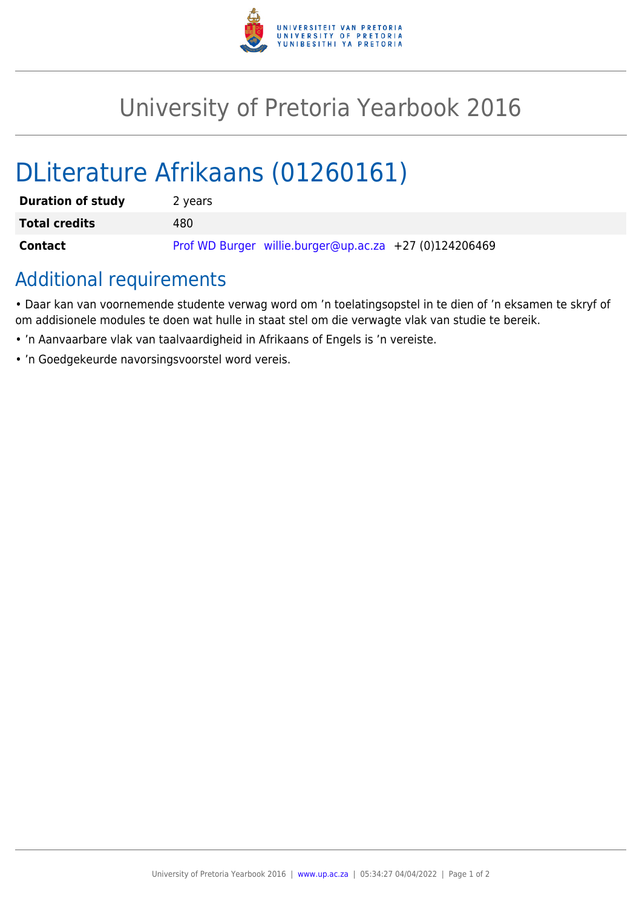

## University of Pretoria Yearbook 2016

# DLiterature Afrikaans (01260161)

| <b>Duration of study</b> | 2 years                                                |
|--------------------------|--------------------------------------------------------|
| <b>Total credits</b>     | 480                                                    |
| Contact                  | Prof WD Burger willie.burger@up.ac.za +27 (0)124206469 |

## Additional requirements

• Daar kan van voornemende studente verwag word om 'n toelatingsopstel in te dien of 'n eksamen te skryf of om addisionele modules te doen wat hulle in staat stel om die verwagte vlak van studie te bereik.

- 'n Aanvaarbare vlak van taalvaardigheid in Afrikaans of Engels is 'n vereiste.
- 'n Goedgekeurde navorsingsvoorstel word vereis.